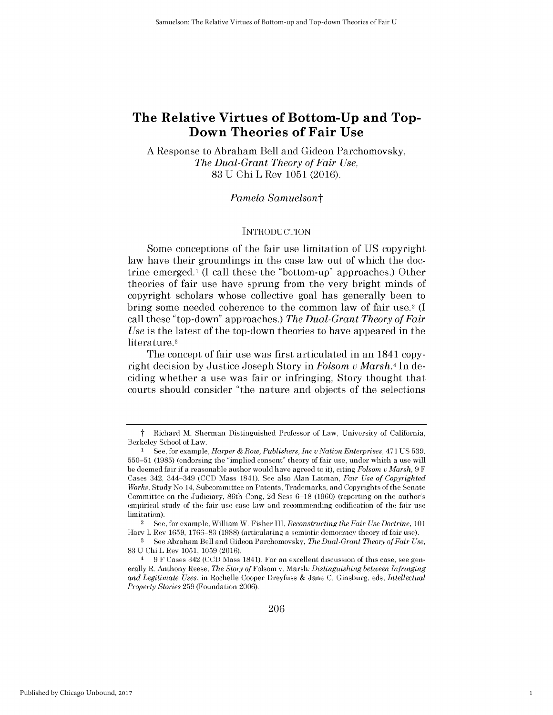# **The Relative Virtues of Bottom-Up and Top-Down Theories of Fair Use**

**A** Response to Abraham Bell and Gideon Parchomovsky, *The Dual-Grant Theory of Fair Use,* **83 U Chi** L Rev **1051 (2016).**

#### *Pamela Samuelsont*

#### **INTRODUCTION**

Some conceptions of the fair use limitation of **US** copyright law have their groundings in the case law out of which the doctrine emerged.<sup>1</sup> (I call these the "bottom-up" approaches.) Other theories of fair use have sprung from the very bright minds of copyright scholars whose collective goal has generally been to bring some needed coherence to the common law of fair use. <sup>2</sup>**(I** call these "top-down" approaches.) *The Dual-Grant Theory of Fair Use is* the latest of the top-down theories to have appeared in the literature.3

The concept of fair use was first articulated in an 1841 copyright decision **by** Justice Joseph Story in *Folsom v Marsh.4* In deciding whether a use was fair or infringing, Story thought that courts should consider "the nature and objects of the selections

1

t Richard M. Sherman Distinguished Professor of Law, University of California, Berkeley School of Law.

<sup>1</sup>**See,** for example, *Harper & Row, Publishers, Inc u Nation Enterprises,* 471 **US 539, 550-51 (1985)** (endorsing the "implied consent" theory of fair use, under which a use will **be** deemed fair if a reasonable author would have agreed to **it),** citing *Folsom V Marsh, 9* F Cases 342, 344-349 **(CCD** Mass 1841). **See** also Alan Latman, *Fair Use of Copyrighted Works,* Study No 14, Subcommittee on Patents, Trademarks, and Copyrights of the Senate Committee on the Judiciary, 86th Cong, **2d** Sess **6-18 (1960)** (reporting on the author's empirical study of the fair use case law and recommending codification of the fair use limitation).

<sup>2</sup>See, for example, William W. Fisher III, *Reconstructing the Fair Use Doctrine, <sup>101</sup>* Harv L Rev **1659, 1766-83 (1988)** (articulating a semiotic democracy theory of fair use).

**<sup>3</sup> See** Abraham Bell and Gideon Parchomovsky, *The Dual-Grant Theory of Fair Use,* **83 U** Chi L Rev **1051, 1059** (2016).

<sup>4</sup> **9** F Cases 342 **(CCD** Mass 1841). For an excellent discussion of this case, see generally R. Anthony Reese, *The Story of* Folsom v. Marsh: *Distinguishing between Infringing and Legitimate Uses,* in Rochelle Cooper Dreyfuss **&** Jane **C.** Ginsburg, eds, *Intellectual Property Stories* **259** (Foundation 2006).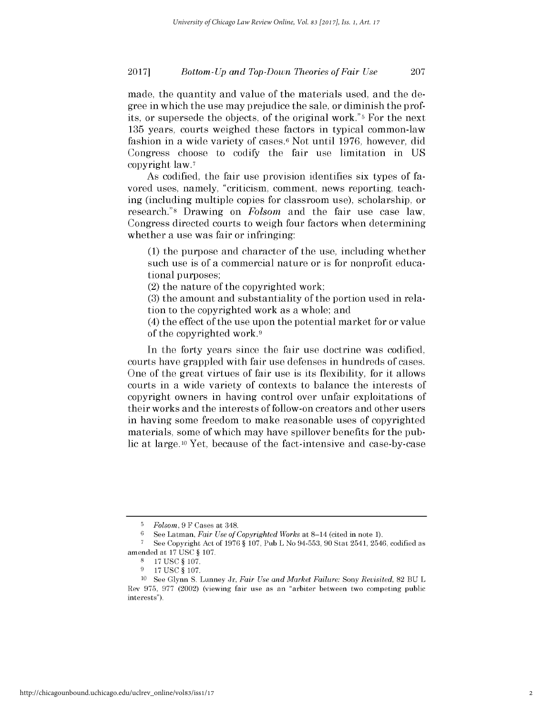made, the quantity and value of the materials used, and the degree in which the use may prejudice the sale, or diminish the profits, or supersede the objects, of the original work."5 For the next **135** years, courts weighed these factors in typical common-law fashion in a wide variety of cases.<sup>6</sup>Not until **1976,** however, **did** Congress choose to codify the fair use limitation in **US** copyright law.7

As codified, the fair use provision identifies six types of favored uses, namely, "criticism, comment, news reporting, teaching (including multiple copies for classroom use), scholarship, or research."8 Drawing on *Folsom* and the fair use case law, Congress directed courts to weigh four factors when determining whether a use was fair or infringing:

**(1)** the purpose and character of the use, including whether such use is of a commercial nature or is for nonprofit educational purposes;

(2) the nature of the copyrighted work;

**(3)** the amount and substantiality of the portion used in relation to the copyrighted work as a whole; and

(4) the effect of the use upon the potential market for or value of the copyrighted work.9

In the forty years since the fair use doctrine was codified, courts have grappled with fair use defenses in hundreds of cases. One of the great virtues of fair use is its flexibility, for it allows courts in a wide variety of contexts to balance the interests of copyright owners in having control over unfair exploitations of their works and the interests of follow-on creators and other users in having some freedom to make reasonable uses of copyrighted materials, some of which may have spillover benefits for the public at large. 10 Yet, because of the fact-intensive and case-by-case

**<sup>5</sup>***Folsom,* **9** F Cases at 348.

**<sup>6</sup>See** Latman, *Fair Use of Copyrighted Works at* 8-14 (cited in note **1).**

**<sup>7</sup> See** Copyright Act of **1976** *§* **107,** Pub L No **94-553, 90** Stat 2541, 2546, codified as amended at **17 USC** *§* **107.**

**<sup>8</sup>17 USC** *§* **107.**

**<sup>9 17</sup> USC** *§* **107.**

**<sup>10</sup> See** Glynn **S.** Lunney Jr, *Fair Use and Market Failure: Sony Revisited,* **82 BU** L Rev **975, 977** (2002) (viewing fair use as an "arbiter between two competing public interests").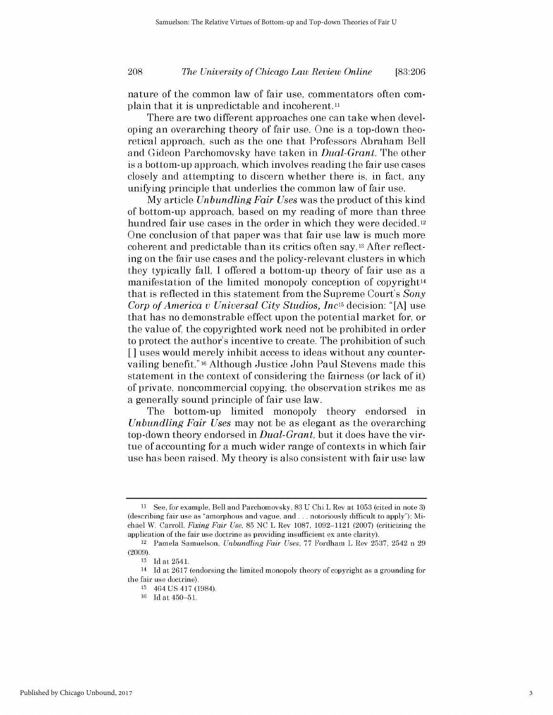### *The University of Chicago Law Review Online* **208 [83:206**

nature of the common law of fair use, commentators often complain that it is unpredictable and incoherent.<sup>11</sup>

There are two different approaches one can take when developing an overarching theory of fair use. One is a top-down theoretical approach, such as the one that Professors Abraham Bell and Gideon Parchomovsky have taken in *Dual-Grant.* The other is a bottom-up approach, which involves reading the fair use cases closely and attempting to discern whether there is, in fact, any unifying principle that underlies the common law of fair use.

**My** article *Unbundling Fair Uses* was the product of this kind of bottom-up approach, based on my reading of more than three hundred fair use cases in the order in which they were decided.<sup>12</sup> One conclusion of that paper was that fair use law is much more coherent and predictable than its critics often say. **13** After reflecting on the fair use cases and the policy-relevant clusters in which they typically fall, **I** offered a bottom-up theory of fair use as a manifestation of the limited monopoly conception of copyright<sup>14</sup> that is reflected in this statement from the Supreme Court's *Sony Corp of America v Universal City Studios, Inc15* decision: **"[A]** use that has no demonstrable effect upon the potential market for, or the value of, the copyrighted work need not be prohibited in order to protect the author's incentive to create. The prohibition of such [] uses would merely inhibit access to ideas without any countervailing benefit." **16** Although Justice John Paul Stevens made this statement in the context of considering the fairness (or lack of it) of private, noncommercial copying, the observation strikes me as a generally sound principle of fair use law.

The bottom-up limited monopoly theory endorsed in *Unbundling Fair Uses* may not be as elegant as the overarching top-down theory endorsed in *Dual-Grant,* but it does have the virtue of accounting for a much wider range of contexts in which fair use has been raised. **My** theory is also consistent with fair use law

**<sup>11</sup>**See, for example, Bell and Parchomovsky, **83 U** Chi L Rev at **1053** (cited in note **3)** (describing fair use as "amorphous and vague, and **...** notoriously difficult to apply"); Michael W. Carroll, *Fixing Fair Use,* **85 NC** L Rev **1087, 1092-1121 (2007)** (criticizing the application of the fair use doctrine as providing insufficient ex ante clarity).

<sup>12</sup>Pamela Samuelson, *Unbundling Fair Uses,* **77** Fordham L Rev **2537,** 2542 n **29 (2009).**

**<sup>13</sup> Id** at 2541.

<sup>14</sup>**Id** at **2617** (endorsing the limited monopoly theory of copyright as a grounding for the fair use doctrine).

**<sup>15</sup>**464 **US** 417 (1984).

<sup>&</sup>lt;sup>16</sup> Id at 450-51.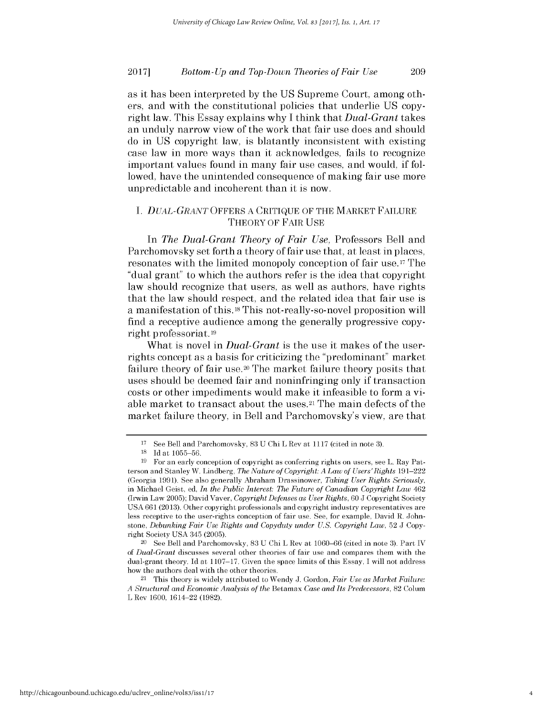as it has been interpreted **by** the **US** Supreme Court, among others, and with the constitutional policies that underlie **US** copyright law. This Essay explains why **I** think that *Dual-Grant* takes an unduly narrow view of the work that fair use does and should do in **US** copyright law, is blatantly inconsistent with existing case law in more ways than it acknowledges, fails to recognize important values found in many fair use cases, and would, **if** followed, have the unintended consequence of making fair use more unpredictable and incoherent than it is now.

### *I. DUAL-GRANT* OFFERS **A CRITIQUE** OF THE MARKET **FAILURE** THEORY OF FAIR **USE**

*In The Dual-Grant Theory of Fair Use,* Professors Bell and Parchomovsky set forth a theory of fair use that, at least in places, resonates with the limited monopoly conception of fair use.<sup>17</sup> The "dual grant" to which the authors refer is the idea that copyright law should recognize that users, as well as authors, have rights that the law should respect, and the related idea that fair use **is** a manifestation of this. 18This not-really-so-novel proposition will find a receptive audience among the generally progressive **copy**right professoriat.19

What is novel in *Dual-Grant is* the use it makes of the userrights concept as a basis for criticizing the "predominant" market failure theory of fair use.<sup>20</sup> The market failure theory posits that uses should be deemed fair and noninfringing only **if** transaction costs or other impediments would make it infeasible to form a viable market to transact about the uses. <sup>21</sup>The main defects of the market failure theory, in Bell and Parchomovsky's view, are that

<sup>20</sup>See Bell and Parchomovsky, **83 U** Chi L Rev at **1060-66** (cited in note **3).** Part IV *of Dual-Grant* discusses several other theories of fair use and compares them with the dual-grant theory. **Id** at **1107-17.** Given the space limits of this Essay, **I** will not address how the authors deal with the other theories.

**<sup>17</sup>**See Bell and Parchomovsky, **83 U** Chi L Rev at **1117** (cited in note **3).**

**<sup>18</sup>Id** at **1055-56.**

**<sup>19</sup>** For an early conception of copyright as conferring rights on users, see L. Ray Patterson and Stanley W. Lindberg, *The Nature of Copyright: A Law of Users'Rights 191-222* (Georgia **1991). See** also generally Abraham Drassinower, *Taking User Rights Seriously,* in Michael Geist, **ed,** *In the Public Interest: The Future of Canadian Copyright Law* 462 (Irwin Law **2005);** David Vaver, *Copyright Defenses as User Rights, 60* **J** Copyright Society **USA 661 (2013).** Other copyright professionals and copyright industry representatives are less receptive to the user-rights conception of fair use. **See,** for example, David R. Johnstone, *Debunking Fair Use Rights and Copyduty under U.S. Copyright Law,* **52 J** Copyright Society **USA** 345 **(2005).**

<sup>21</sup>This theory is widely attributed to Wendy **J.** Gordon, *Fair Use as Market Failure: <sup>A</sup>Structural and Economic Analysis of the Betamax Case and Its Predecessors,* **82** Colum L Rev **1600,** 1614-22 **(1982).**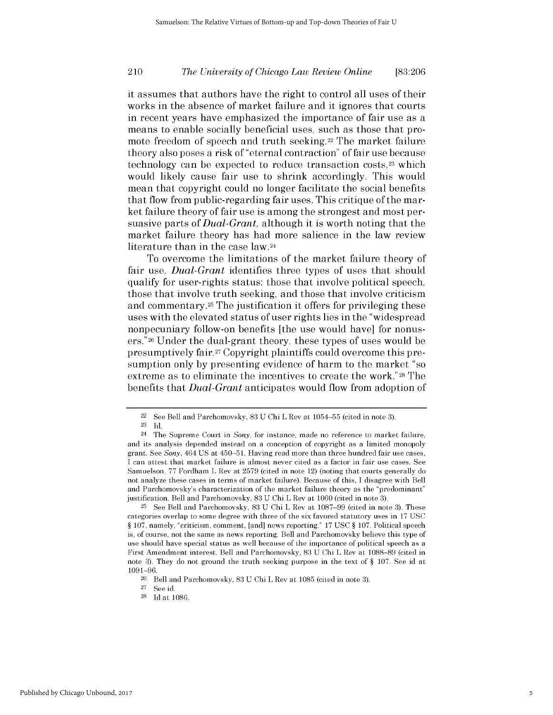### *The University of Chicago Law Review Online* 210 **[83:206**

it assumes that authors have the right to control all uses of their works in the absence of market failure and it ignores that courts in recent years have emphasized the importance of fair use as a means to enable socially beneficial uses, such as those that promote freedom of speech and truth seeking.<sup>22</sup> The market failure theory also poses a risk of "eternal contraction" of fair use because technology can be expected to reduce transaction costs,<sup>23</sup> which would likely cause fair use to shrink accordingly. This would mean that copyright could no longer facilitate the social benefits that flow from public-regarding fair uses. This critique of the market failure theory of fair use is among the strongest and most persuasive parts of *Dual-Grant,* although it is worth noting that the market failure theory has had more salience in the law review literature than in the case law.24

To overcome the limitations of the market failure theory of fair use, *Dual-Grant* identifies three types of uses that should qualify for user-rights status: those that involve political speech, those that involve truth seeking, and those that involve criticism and commentary.<sup>25</sup> The justification it offers for privileging these uses with the elevated status of user rights lies in the "widespread nonpecuniary follow-on benefits [the use would have] for nonusers."26 Under the dual-grant theory, these types of uses would be presumptively fair.27 Copyright plaintiffs could overcome this presumption only **by** presenting evidence of harm to the market "so extreme as to eliminate the incentives to create the work."28 The benefits that *Dual-Grant* anticipates would flow from adoption of

**<sup>28</sup>Id** at **1086.**

<sup>22</sup>See Bell and Parchomovsky, **83 U** Chi L Rev at **1054-55** (cited in note **3).**

**<sup>23</sup> Id.**

<sup>24</sup>The Supreme Court in *Sony,* for instance, made no reference to market failure, and its analysis depended instead on a conception of copyright as a limited monopoly grant. **See** *Sony,* 464 **US** at 450-51. Having read more than three hundred fair use cases, **I** can attest that market failure is almost never cited as a factor in fair use cases. **See** Samuelson, **77** Fordham L Rev at **2579** (cited in note 12) (noting that courts generally do not analyze these cases in terms of market failure). Because of this, **I** disagree with Bell and Parchomovsky's characterization of the market failure theory as the "predominant" justification. Bell and Parchomovsky, **83 U** Chi L Rev at **1060** (cited in note **3).**

**<sup>25</sup>**See Bell and Parchomovsky, **83 U** Chi L Rev at **1087-99** (cited in note **3).** These categories overlap to some degree with three of the six favored statutory uses in **17 USC** *§* **107,** namely, "criticism, comment, [and] news reporting." **17 USC** *§* **107.** Political speech is, of course, not the same as news reporting. Bell and Parchomovsky believe this type of use should have special status as well because of the importance of political speech as a First Amendment interest. Bell and Parchomovsky, **83 U** Chi L Rev at **1088-89** (cited in note **3). They** do not ground the truth seeking purpose in the text of *§* **107. See** id at **1091-96.**

**<sup>26</sup>**Bell and Parchomovsky, **83 U** Chi L Rev at **1085** (cited in note **3).**

<sup>27</sup> See id.<br>28 Id at 1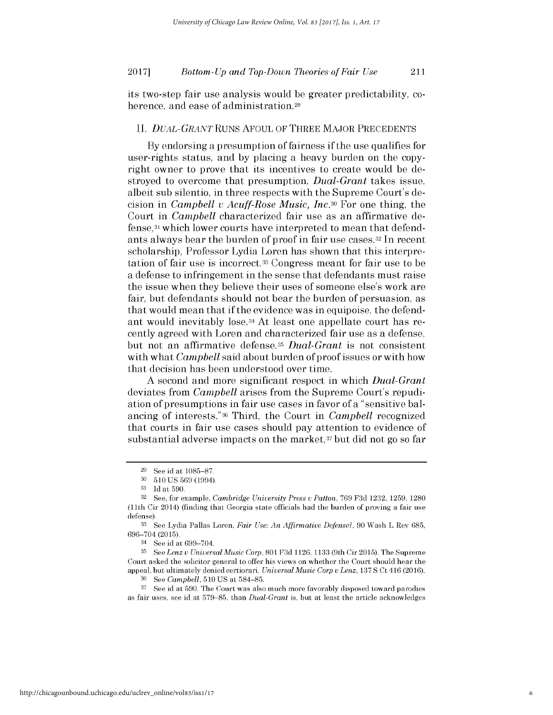its two-step fair use analysis would be greater predictability, **co**herence, and ease of administration.<sup>29</sup>

#### *II. DUAL-GRANTRUNS* **AFOUL** OF THREE MAJOR **PRECEDENTS**

**By** endorsing a presumption of fairness **if** the use qualifies for user-rights status, and **by** placing a heavy burden on the copyright owner to prove that its incentives to create would be destroyed to overcome that presumption, *Dual-Grant* takes issue, albeit sub silentio, in three respects with the Supreme Court's decision in *Campbell v Acuff-Rose Music, Inc.30* For one thing, the Court in *Campbell* characterized fair use as an affirmative defense,31 which lower courts have interpreted to mean that defendants always bear the burden of proof in fair use cases.<sup>32</sup> In recent scholarship, Professor Lydia Loren has shown that this interpretation of fair use is incorrect.33 Congress meant for fair use to be a defense to infringement in the sense that defendants must raise the issue when they believe their uses of someone else's work are fair, but defendants should not bear the burden of persuasion, as that would mean that **if** the evidence was in equipoise, the defendant would inevitably lose.34 At least one appellate court has recently agreed with Loren and characterized fair use as a defense, but not an affirmative defense.35 *Dual-Grant is* not consistent with what *Campbell* said about burden of proof issues or with how that decision has been understood over time.

**A** second and more significant respect in which *Dual-Grant* deviates from *Campbell* arises from the Supreme Court's repudiation of presumptions in fair use cases in favor of a "sensitive balancing of interests."36 Third, the Court in *Campbell* recognized that courts in fair use cases should pay attention to evidence of substantial adverse impacts on the market,37 but **did** not go so far

**<sup>29</sup>**See id at **1085-87.**

**<sup>30 510</sup> US 569 (1994).**

**<sup>31</sup> Id** at **590.**

**<sup>32</sup>See,** for example, *Cambridge University Press v Patton,* **769 F3d 1232, 1259, 1280** (11th Cir 2014) (finding that Georgia state officials had the burden of proving a fair use defense).

**<sup>33</sup> See** Lydia Pallas Loren, *Fair Use: An Affirmative Defense?,* **90** Wash L Rev **685, 696-704 (2015).**

<sup>34</sup>See id at **699-704.**

**<sup>35</sup>See** *Lenz v Universal Music Corp,* **801 F3d** 1126, **1133** (9th Cir **2015).** The Supreme Court asked the solicitor general to offer his views on whether the Court should hear the appeal, but ultimately denied certiorari. *Universal Music Corp v Lenz,* **137 S** Ct 416 (2016).

**<sup>36</sup>See** *Campbell,* **510 US** at 584-85.

**<sup>37</sup>See** id at **590.** The Court was also much more favorably disposed toward parodies as fair uses, see id at **579-85,** than *Dual-Grant* is, but at least the article acknowledges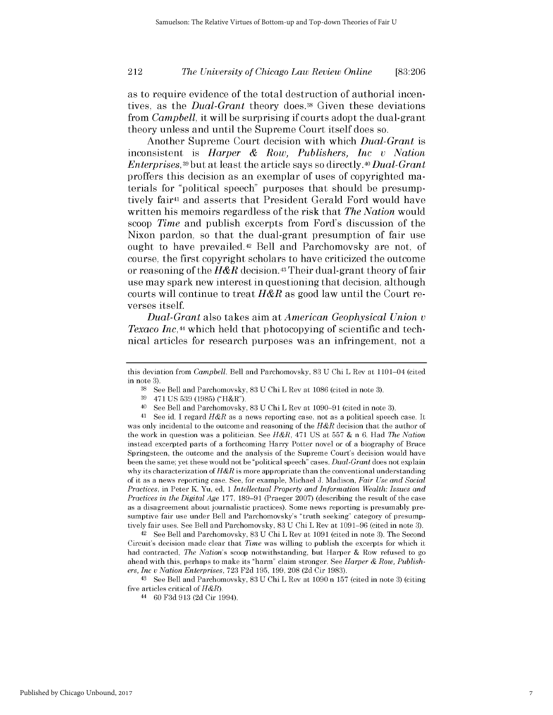#### 212 *The University of Chicago Law Review Online* **[83:206**

as to require evidence of the total destruction of authorial incentives, as the *Dual-Grant* theory does.<sup>38</sup> Given these deviations from *Campbell,* it will be surprising **if** courts adopt the dual-grant theory unless and until the Supreme Court itself does so.

Another Supreme Court decision with which *Dual-Grant is* inconsistent *is Harper & Row, Publishers, Inc v Nation Enterprises,39* but at least the article says so *directly.40 Dual-Grant* proffers this decision as an exemplar of uses of copyrighted materials for "political speech" purposes that should be presumptively fair4l and asserts that President Gerald Ford would have written his memoirs regardless of the risk that *The Nation* would scoop *Time* and publish excerpts from Ford's discussion of the Nixon pardon, so that the dual-grant presumption of fair use ought to have prevailed.42 Bell and Parchomovsky are not, of course, the first copyright scholars to have criticized the outcome or reasoning of the *H&R* decision.43 Their dual-grant theory of fair use may spark new interest in questioning that decision, although courts will continue to treat *H&R* as good law until the Court reverses itself.

*Dual-Grant* also takes aim at *American Geophysical Union <sup>v</sup> Texaco Inc,44* which held that photocopying of scientific and technical articles for research purposes was an infringement, not a

<sup>42</sup>See Bell and Parchomovsky, **83 U** Chi L Rev at **1091** (cited in note **3).** The Second Circuit's decision made clear that *Time* was willing to publish the excerpts for which **it** had contracted, *The Nation's* scoop notwithstanding, but Harper **&** Row refused to go ahead with this, perhaps to make its "harm" claim stronger. **See** *Harper & Row, Publishers, Inc u Nation Enterprises,* **723 F2d 195, 199, 208 (2d** Cir **1983).**

<sup>43</sup>**See** Bell and Parchomovsky, **83 U** Chi L Rev at **1090** n **157** (cited in note **3)** (citing five articles critical of *H&R).*

this deviation from *Campbell.* Bell and Parchomovsky, **83 U** Chi L Rev at 1101-04 (cited in note **3).**

**<sup>38</sup>See** Bell and Parchomovsky, **83 U** Chi L Rev at **1086** (cited in note **3).**

**<sup>39</sup>**471 **US 539 (1985)** ("H&R").

<sup>40</sup>See Bell and Parchomovsky, **83 U** Chi L Rev at **1090-91** (cited in note **3).**

<sup>41</sup>**See** id. **I** regard *H&R* as a news reporting case, not as a political speech case. It was only incidental to the outcome and reasoning of the *H&R* decision that the author of the work in question was a politician. **See** *H&R,* 471 **US** at **557 &** n **6.** Had *The Nation* instead excerpted parts of a forthcoming Harry Potter novel or of a biography of Bruce Springsteen, the outcome and the analysis of the Supreme Court's decision would have been the same; yet these would not **be** "political speech" cases. *Dual-Grant* does not explain why its characterization of *H&R* is more appropriate than the conventional understanding of **it** as a news reporting case. **See,** for example, Michael **J.** Madison, *Fair Use and Social Practices,* in Peter K. Yu, **ed,** 1 *Intellectual Property and Information Wealth: Issues and Practices in the Digital Age* **177, 189-91** (Praeger **2007)** (describing the result of the case as a disagreement about journalistic practices). Some news reporting is presumably presumptive fair use under Bell and Parchomovsky's "truth seeking" category of presumptively fair uses. **See** Bell and Parchomovsky, **83 U** Chi L Rev at 1091-96 (cited in note **3).**

<sup>44</sup>**60 F3d 913 (2d** Cir 1994).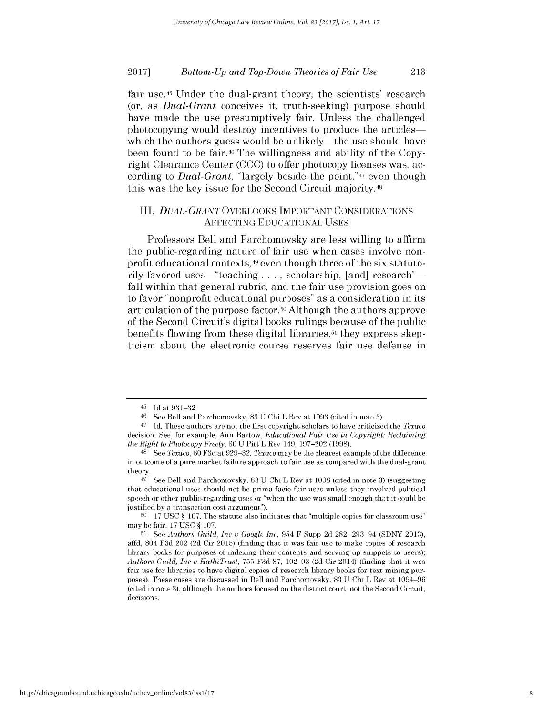fair use.<sup>45</sup> Under the dual-grant theory, the scientists' research (or, as *Dual-Grant* conceives it, truth-seeking) purpose should have made the use presumptively fair. Unless the challenged photocopying would destroy incentives to produce the articles which the authors guess would be unlikely—the use should have been found to be **fair.46** The willingness and ability of the Copyright Clearance Center **(CCC)** to offer photocopy licenses was, according to *Dual-Grant,* "largely beside the point,"47 even though this was the key issue for the Second Circuit majority.48

### III. *DUAL-GRANT* OVERLOOKS IMPORTANT **CONSIDERATIONS AFFECTING EDUCATIONAL USES**

Professors Bell and Parchomovsky are less willing to affirm the public-regarding nature of fair use when cases involve nonprofit educational contexts, 49 even though three of the six statutorily favored uses—"teaching ..., scholarship, [and] research" fall within that general rubric, and the fair use provision goes on to favor "nonprofit educational purposes" as a consideration in its articulation of the purpose factor.<sup>50</sup> Although the authors approve of the Second Circuit's digital books rulings because of the public benefits flowing from these digital libraries,<sup>51</sup> they express skepticism about the electronic course reserves fair use defense in

<sup>45</sup>**Id** at **931-32.**

**<sup>46</sup>**See Bell and Parchomovsky, **83 U** Chi L Rev at **1093** (cited in note **3).**

<sup>47</sup>**Id.** These authors are not the first copyright scholars to have criticized the *Texaco* decision. **See,** for example, Ann Bartow, *Educational Fair Use in Copyright: Reclaiming the Right to Photocopy Freely, 60* **U** Pitt L Rev 149, **197-202 (1998).**

<sup>48</sup> See *Texaco, 60* **F3d** at **929-32.** *Texaco* **maybe** the clearest example of the difference in outcome of a pure market failure approach to fair use as compared with the dual-grant theory.

**<sup>49</sup>**See Bell and Parchomovsky, **83 U** Chi L Rev at **1098** (cited in note **3)** (suggesting that educational uses should not **be** prima facie fair uses unless they involved political speech or other public-regarding uses or "when the use was small enough that **it** could **be** justified **by** a transaction cost argument").

**<sup>50</sup>17 USC** *§* **107.** The statute also indicates that "multiple copies for classroom use" may **be** fair. **17 USC** *§* **107.**

**<sup>51</sup> See** *Authors Guild, Inc u Google Inc,* 954 F Supp **2d 282,** 293-94 **(SDNY 2013),** affd, 804 **F3d** 202 **(2d** Cir **2015)** (finding that **it** was fair use to make copies of research library books for purposes of indexing their contents and serving up snippets to users); *Authors Guild, Inc u HathiTrust,* **755 F3d 87, 102-03 (2d** Cir 2014) (finding that **it** was fair use for libraries to have digital copies of research library books for text mining purposes). These cases are discussed in Bell and Parchomovsky, **83 U** Chi L Rev at 1094-96 (cited in note **3),** although the authors focused on the district court, not the Second Circuit, decisions.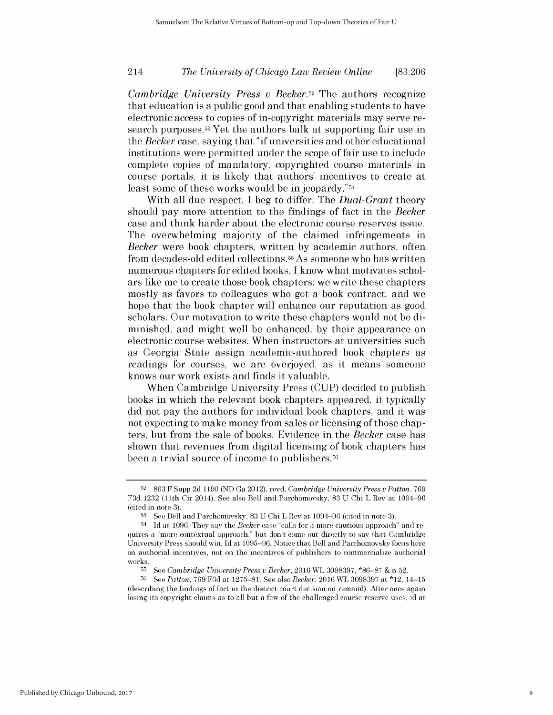### *The University of Chicago Law Review Online* 214 **[83:206**

*Cambridge University Press v Becker.52* The authors recognize that education is a public good and that enabling students to have electronic access to copies of in-copyright materials may serve research purposes. <sup>53</sup>Yet the authors balk at supporting fair use in *the Becker* case, saying that **"if** universities and other educational institutions were permitted under the scope of fair use to include complete copies of mandatory, copyrighted course materials in course portals, it is likely that authors' incentives to create at least some of these works would be in jeopardy."54

With all due respect, **I** beg to differ. The *Dual-Grant* theory should pay more attention to the findings of fact in the *Becker* case and think harder about the electronic course reserves issue. The overwhelming majority of the claimed infringements in *Becker* were book chapters, written **by** academic authors, often from decades-old edited collections.55As someone who has written numerous chapters for edited books, **I** know what motivates scholars like me to create those book chapters: we write these chapters mostly as favors to colleagues who got a book contract, and we hope that the book chapter will enhance our reputation as good scholars. Our motivation to write these chapters would not be **di**minished, and might well be enhanced, **by** their appearance on electronic course websites. When instructors at universities such as Georgia State assign academic-authored book chapters as readings for courses, we are overjoyed, as it means someone knows our work exists and finds it valuable.

When Cambridge University Press **(CUP)** decided to publish books in which the relevant book chapters appeared, it typically **did** not pay the authors for individual book chapters, and it was not expecting to make money from sales or licensing of those chapters, but from the sale of books. Evidence in the *Becker* case has shown that revenues from digital licensing of book chapters has been a trivial source of income to publishers.<sup>56</sup>

**<sup>52</sup>863** F Supp **2d 1190 (ND** Ga 2012), revd, *Cambridge University Press v Patton, 769* **F3d 1232** (11th Cir 2014). **See** also Bell and Parchomovsky, **83 U** Chi L Rev at 1094-96 (cited in note **3).**

**<sup>53</sup>See** Bell and Parchomovsky, **83 U** Chi L Rev at 1094-96 (cited in note **3).**

<sup>54</sup> **Id** at **1096. They** say the *Becker* case "calls for a more cautious approach" and requires a "more contextual approach," but don't come out directly to say that Cambridge University Press should win. **Id** at **1095-96.** Notice that Bell and Parchomovsky focus here on authorial incentives, not on the incentives of publishers to commercialize authorial works.

**<sup>55</sup>**See *Cambridge University Press v Becker,* 2016 WL **3098397, \*86-87 &** n **52.**

**<sup>56</sup>See** *Patton,* **769 F3d** at **1275-81. See** *also Becker,* 2016 WL **3098397** at \*12, 14-15 (describing the findings of fact in the district court decision on remand). After once again losing its copyright claims as to all but a few of the challenged course reserve uses, id at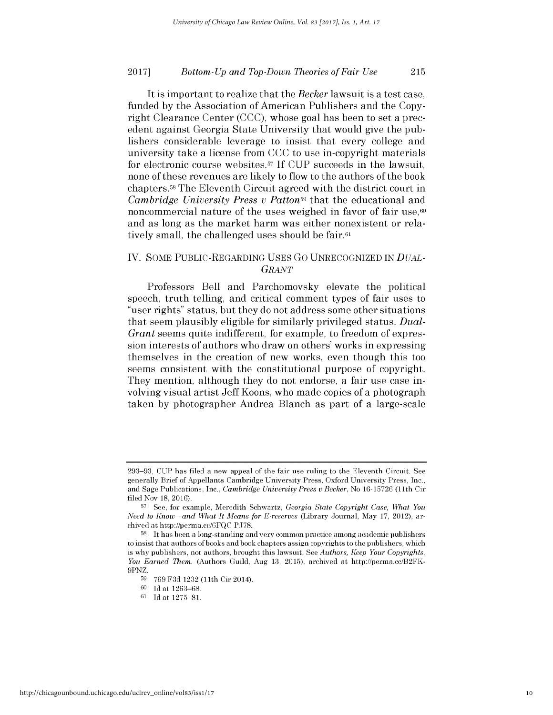It is important to realize that the *Becker* lawsuit is a test case, funded **by** the Association of American Publishers and the Copyright Clearance Center **(CCC),** whose goal has been to set a precedent against Georgia State University that would give the publishers considerable leverage to insist that every college and university take a license from **CCC** to use in-copyright materials for electronic course websites.57 **If CUP** succeeds in the lawsuit, none of these revenues are likely to flow to the authors of the book chapters.58 The Eleventh Circuit agreed with the district court in *Cambridge University Press v Patton59* that the educational and noncommercial nature of the uses weighed in favor of fair use, $60$ and as long as the market harm was either nonexistent or relatively small, the challenged uses should be **fair.61**

#### IV. **SOME** PUBLIC-REGARDING **USES Go UNRECOGNIZED IN** *DUAL-GRANT*

Professors Bell and Parchomovsky elevate the political speech, truth telling, and critical comment types of fair uses to "user rights" status, but they do not address some other situations that seem plausibly eligible for similarly privileged status. *Dual-Grant* seems quite indifferent, for example, to freedom of expression interests of authors who draw on others' works in expressing themselves in the creation of new works, even though this too seems consistent with the constitutional purpose of copyright. They mention, although they do not endorse, a fair use case involving visual artist Jeff Koons, who made copies of a photograph taken **by** photographer Andrea Blanch as part of a large-scale

**<sup>293-93,</sup> CUP** has **filed** a new appeal of the fair use ruling to the Eleventh Circuit. **See** generally Brief of Appellants Cambridge University Press, Oxford University Press, Inc., and Sage Publications, Inc., *Cambridge University Press v Becker, No* **16-15726 (11th** Cir **filed** Nov **18,** 2016).

**<sup>57</sup>**See, for example, Meredith Schwartz, *Georgia State Copyright Case, What You Need to Know-and What It Means for E-reserves* (Library Journal, May **17,** 2012), archived at http://perma.cc/6FQC-PJ78.

**<sup>58</sup>**It has been a long-standing and very common practice among academic publishers to insist that authors of books and book chapters assign copyrights to the publishers, which is why publishers, not authors, brought this lawsuit. **See** *Authors, Keep Your Copyrights. You Earned Them.* (Authors Guild, Aug **13, 2015),** archived at http://perma.cc/B2FK-9PNZ.

**<sup>59 769</sup> F3d 1232 (11th** Cir 2014).

**<sup>60</sup>Id** at **1263-68.**

**<sup>61</sup> Id** at **1275-81.**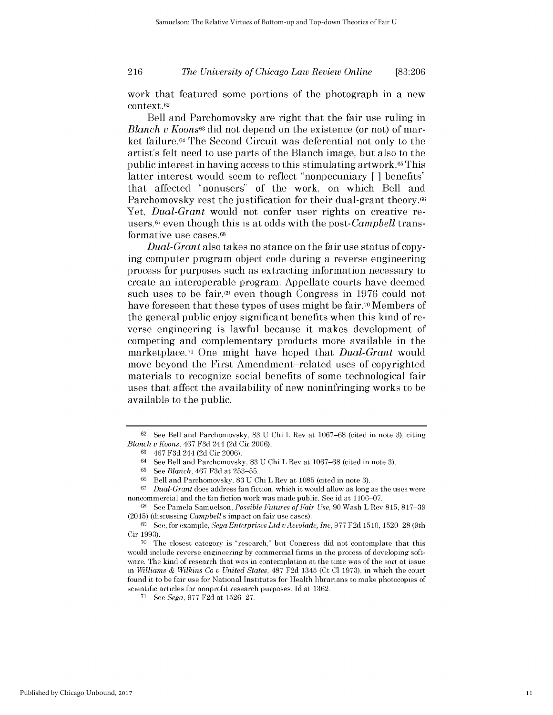### *The University of Chicago Law Review Online* **216 [83:206**

work that featured some portions of the photograph in a new context.<sup>62</sup>

Bell and Parchomovsky are right that the fair use ruling in *Blanch v Koons63* did not depend on the existence (or not) of market failure.64 The Second Circuit was deferential not only to the artist's felt need to use parts of the Blanch image, but also to the public interest in having access to this stimulating artwork.65 This latter interest would seem to reflect "nonpecuniary **[ ]** benefits" that affected "nonusers" of the work, on which Bell and Parchomovsky rest the justification for their dual-grant theory.<sup>66</sup> Yet, *Dual-Grant* would not confer user rights on creative reusers, <sup>6</sup>7 even though this is at odds with the *post-Campbell* transformative use cases. <sup>68</sup>

*Dual-Grant* also takes no stance on the fair use status of copying computer program object code during a reverse engineering process for purposes such as extracting information necessary to create an interoperable program. Appellate courts have deemed such uses to be fair,69 even though Congress in **1976** could not have foreseen that these types of uses might be fair.<sup>70</sup> Members of the general public enjoy significant benefits when this kind of reverse engineering is lawful because it makes development of competing and complementary products more available in the marketplace.71 One might have hoped that *Dual-Grant* would move beyond the First Amendment-related uses of copyrighted materials to recognize social benefits of some technological fair uses that affect the availability of new noninfringing works to be available to the public.

**<sup>67</sup>***Dual-Grant* does address fan fiction, which it would allow as long as the uses were noncommercial and the fan fiction work was made public. **See** id at **1106-07.**

**<sup>68</sup>See** Pamela Samuelson, *Possible Futures of Fair Use,* **90** Wash L Rev **815, 817-39 (2015)** (discussing *Campbell's* impact on fair use cases).

**<sup>62</sup>**See Bell and Parchomovsky, **83 U** Chi L Rev at **1067-68** (cited in note **3),** citing *Blanch u Koons,* 467 **F3d** 244 **(2d** Cir 2006).

**<sup>63</sup>**467 **F3d** 244 **(2d** Cir 2006).

<sup>64</sup>See Bell and Parchomovsky, **83 U** Chi L Rev at **1067-68** (cited in note **3).**

**<sup>65</sup>See** *Blanch,* 467 **F3d** at **253-55.**

**<sup>66</sup>**Bell and Parchomovsky, **83 U** Chi L Rev at **1085** (cited in note **3).**

**<sup>69</sup>**See, for example, *Sega Enterprises Ltd u Accolade, Inc,* **977 F2d 1510, 1520-28** (9th Cir **1993).**

**<sup>70</sup>**The closest category is "research," but Congress did not contemplate that this would include reverse engineering **by** commercial firms in the process of developing software. The kind of research that was in contemplation at the time was of the sort at issue in *Williams & Wilkins Co u United States,* **487 F2d** 1345 (Ct **Cl 1973),** in which the court found it to **be** fair use for National Institutes for Health librarians to make photocopies of scientific articles for nonprofit research purposes. **Id** at **1362.**

**<sup>71</sup>**See *Sega,* **977 F2d** at **1526-27.**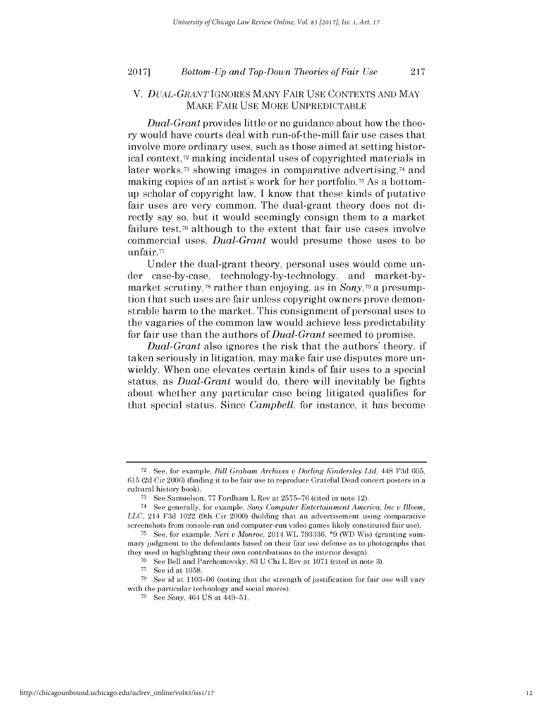#### V. *DUAL-GRANT* **IGNORES MANY** FAIR **USE CONTEXTS AND** MAY MAKE FAIR **USE** MORE **UNPREDICTABLE**

*Dual-Grant* provides little or no guidance about how the theory would have courts deal with run-of-the-mill fair use cases that involve more ordinary uses, such as those aimed at setting historical context,72 making incidental uses of copyrighted materials in later works,<sup>73</sup> showing images in comparative advertising,<sup>74</sup> and making copies of an artist's work for her portfolio.75 As a bottomup scholar of copyright law, **I** know that these kinds of putative fair uses are very common. The dual-grant theory does not **di**rectly say so, but it would seemingly consign them to a market failure test, $\pi$  although to the extent that fair use cases involve commercial uses, *Dual-Grant* would presume those uses to be unfair.77

Under the dual-grant theory, personal uses would come under case-by-case, technology-by-technology, and market-bymarket scrutiny,<sup>78</sup> rather than enjoying, as in *Sony*,<sup>79</sup> a presumption that such uses are fair unless copyright owners prove demonstrable harm to the market. This consignment of personal uses to the vagaries of the common law would achieve less predictability for fair use than the authors of *Dual-Grant* seemed to promise.

*Dual-Grant* also ignores the risk that the authors' theory, **if** taken seriously in litigation, may make fair use disputes more unwieldy. When one elevates certain kinds of fair uses to a special status, as *Dual-Grant* would do, there will inevitably be fights about whether any particular case being litigated qualifies for that special status. Since *Campbell,* for instance, it has become

**<sup>72</sup>**See, for example, *Bill Graham Archives v Dorling Kindersley Ltd,* 448 **F3d** 605, 615 **(2d** Cir 2006) (finding **it** to **be** fair use to reproduce Grateful Dead concert posters in a cultural history book).

**<sup>73</sup> See** Samuelson, **77** Fordham L Rev at **2575-76** (cited in note 12).

<sup>74</sup> See generally, for example, *Sony Computer Entertainment America, Inc v Bleem, LLC,* 214 **F3d** 1022 (9th Cir 2000) (holding that an advertisement using comparative screenshots from console-run and computer-run video games **likely** constituted fair use).

**<sup>75</sup> See,** for example, *Neri v Monroe,* 2014 WL **793336, \*9** (WD Wis) (granting summary judgment to the defendants based on their fair use defense as to photographs that they used in highlighting their own contributions to the interior design).

**<sup>76</sup>**See Bell and Parchomovsky, **83 U** Chi L Rev at **1071** (cited in note **3).**

**<sup>77</sup>**See id at **1058.**

**<sup>78</sup>**See id at **1103-06** (noting that the strength of justification for fair use will vary with the particular technology and social mores).

**<sup>79</sup> See** *Sony,* 464 **US** at 449-51.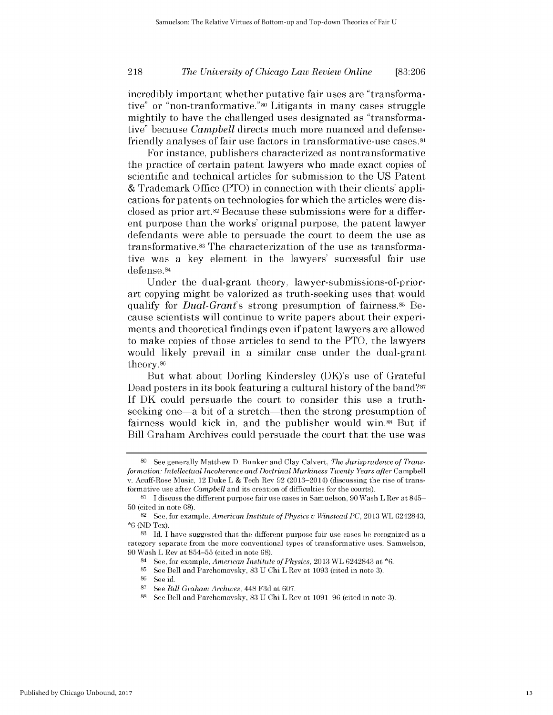### *The University of Chicago Law Review Online* **218 [83:206**

incredibly important whether putative fair uses are "transformative" or "non-tranformative."80 Litigants in many cases struggle mightily to have the challenged uses designated as "transformative" because *Campbell* directs much more nuanced and defensefriendly analyses of fair use factors in transformative-use cases.<sup>81</sup>

For instance, publishers characterized as nontransformative the practice of certain patent lawyers who made exact copies of scientific and technical articles for submission to the **US** Patent **&** Trademark Office (PTO) in connection with their clients' applications for patents on technologies for which the articles were **dis**closed as prior art.82 Because these submissions were for a different purpose than the works' original purpose, the patent lawyer defendants were able to persuade the court to deem the use as transformative.83 The characterization of the use as transformative was a key element in the lawyers' successful fair use defense.84

Under the dual-grant theory, lawyer-submissions-of-priorart copying might be valorized as truth-seeking uses that would qualify for *Dual-Grant's* strong presumption of fairness.<sup>85</sup> Because scientists will continue to write papers about their experiments and theoretical findings even **if** patent lawyers are allowed to make copies of those articles to send to the PTO, the lawyers would likely prevail in a similar case under the dual-grant theory.86

But what about Dorling Kindersley (DK)'s use of Grateful Dead posters in its book featuring a cultural history of the band?<sup>87</sup> **If** DK could persuade the court to consider this use a truthseeking one—a bit of a stretch—then the strong presumption of fairness would kick in, and the publisher would win.88 But **if** Bill Graham Archives could persuade the court that the use was

**<sup>80</sup>** See generally Matthew **D.** Bunker and Clay Calvert, *The Jurisprudence of Transformation: Intellectual Incoherence and Doctrinal Murkiness Twenty Years after* Campbell v. Acuff-Rose Music, 12 Duke L **&** Tech Rev **92** (2013-2014) (discussing the rise of transformative use after *Campbell* and its creation of difficulties for the courts).

**<sup>81</sup>**I discuss the different purpose fair use cases in Samuelson, **90** Wash L Rev at 845- **50** (cited in note **68).**

**<sup>82</sup>**See, for example, *American Institute of Physics v Winstead PC,* **2013** WL 6242843, **\*6 (ND** Tex).

**<sup>83</sup>Id. I** have suggested that the different purpose fair use cases **be** recognized as a category separate from the more conventional types of transformative uses. Samuelson, **90** Wash L Rev at **854-55** (cited in note **68).**

<sup>84</sup>See, for example, *American Institute of Physics,* **2013** WL 6242843 at **\*6.**

**<sup>85</sup>**See Bell and Parchomovsky, **83 U** Chi L Rev at **1093** (cited in note **3).**

**<sup>86</sup>See** id.

**<sup>87</sup>See** *Bill Graham Archives,* 448 **F3d** at **607.**

**<sup>88</sup>See** Bell and Parchomovsky, **83 U** Chi L Rev at **1091-96** (cited in note **3).**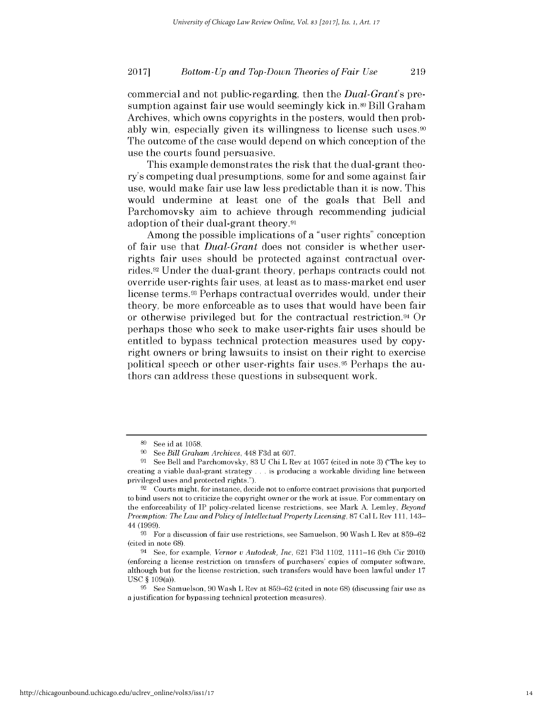commercial and not public-regarding, then the *Dual-Grant's pre*sumption against fair use would seemingly kick in.<sup>89</sup> Bill Graham Archives, which owns copyrights in the posters, would then probably win, especially given its willingness to license such uses.<sup>90</sup> The outcome of the case would depend on which conception of the use the courts found persuasive.

This example demonstrates the risk that the dual-grant theory's competing dual presumptions, some for and some against fair use, would make fair use law less predictable than it is now. This would undermine at least one of the goals that Bell and Parchomovsky aim to achieve through recommending judicial adoption of their dual-grant theory.91

Among the possible implications of a "user rights" conception of fair use that *Dual-Grant* does not consider is whether userrights fair uses should be protected against contractual overrides.92 Under the dual-grant theory, perhaps contracts could not override user-rights fair uses, at least as to mass-market end user license terms.<sup>33</sup> Perhaps contractual overrides would, under their theory, be more enforceable as to uses that would have been fair or otherwise privileged but for the contractual restriction.94 Or perhaps those who seek to make user-rights fair uses should be entitled to bypass technical protection measures used **by** copyright owners or bring lawsuits to insist on their right to exercise political speech or other user-rights fair uses.95 Perhaps the authors can address these questions in subsequent work.

**<sup>89</sup>**See id at **1058.**

**<sup>90</sup> See** *Bill Graham Archives,* 448 **F3d** at 607.

**<sup>91</sup> See** Bell and Parchomovsky, **83 U** Chi L Rev at **1057** (cited in note **3)** ("The **key** to creating a viable dual-grant strategy **.** . **.** is producing a workable dividing line between privileged uses and protected rights.").

**<sup>92</sup>**Courts might, for instance, decide not to enforce contract provisions that purported to bind users not to criticize the copyright owner or the work at issue. For commentary on the enforceability of IP policy-related license restrictions, see Mark **A.** Lemley, *Beyond Preemption: The Law and Policy of Intellectual Property Licensing,* **87** Cal L Rev **111,** 143- 44 (1999).

**<sup>93</sup>**For a discussion of fair use restrictions, see Samuelson, **90** Wash L Rev at **859-62** (cited in note **68).**

<sup>94</sup>See, for example, *Vernor v Autodesk, Inc,* 621 **F3d** 1102, **1111-16** (9th Cir 2010) (enforcing a license restriction on transfers of purchasers' copies of computer software, although but for the license restriction, such transfers would have been lawful under **17 USC** *§* 109(a)).

**<sup>95</sup>**See Samuelson, **90** Wash L Rev at **859-62** (cited in note **68)** (discussing fair use as a justification for bypassing technical protection measures).